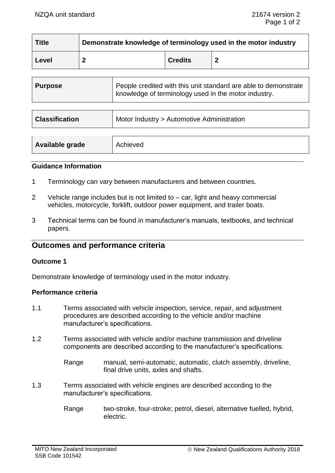| <b>Title</b> | Demonstrate knowledge of terminology used in the motor industry |                |  |
|--------------|-----------------------------------------------------------------|----------------|--|
| Level        |                                                                 | <b>Credits</b> |  |

| <b>Purpose</b>        | People credited with this unit standard are able to demonstrate<br>knowledge of terminology used in the motor industry. |
|-----------------------|-------------------------------------------------------------------------------------------------------------------------|
| <b>Classification</b> | Motor Industry > Automotive Administration                                                                              |

| Available grade<br>Achieved |  |
|-----------------------------|--|
|-----------------------------|--|

### **Guidance Information**

- 1 Terminology can vary between manufacturers and between countries.
- 2 Vehicle range includes but is not limited to car, light and heavy commercial vehicles, motorcycle, forklift, outdoor power equipment, and trailer boats.
- 3 Technical terms can be found in manufacturer's manuals, textbooks, and technical papers.

# **Outcomes and performance criteria**

### **Outcome 1**

Demonstrate knowledge of terminology used in the motor industry.

## **Performance criteria**

- 1.1 Terms associated with vehicle inspection, service, repair, and adjustment procedures are described according to the vehicle and/or machine manufacturer's specifications.
- 1.2 Terms associated with vehicle and/or machine transmission and driveline components are described according to the manufacturer's specifications.
	- Range manual, semi-automatic, automatic, clutch assembly, driveline, final drive units, axles and shafts.
- 1.3 Terms associated with vehicle engines are described according to the manufacturer's specifications.
	- Range two-stroke, four-stroke; petrol, diesel, alternative fuelled, hybrid, electric.